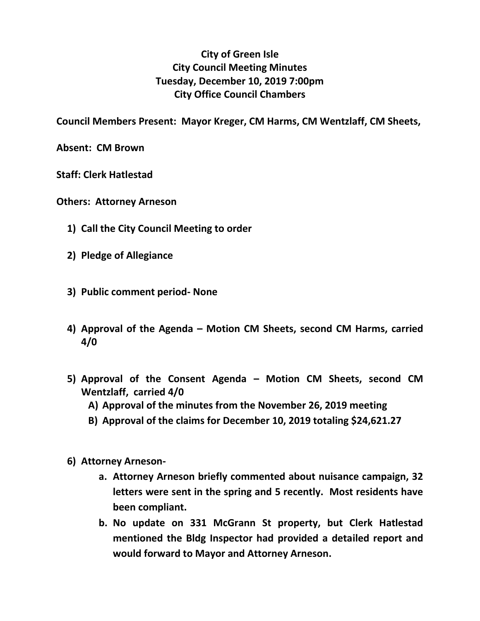## **City of Green Isle City Council Meeting Minutes Tuesday, December 10, 2019 7:00pm City Office Council Chambers**

**Council Members Present: Mayor Kreger, CM Harms, CM Wentzlaff, CM Sheets,** 

**Absent: CM Brown**

**Staff: Clerk Hatlestad**

- **Others: Attorney Arneson**
	- **1) Call the City Council Meeting to order**
	- **2) Pledge of Allegiance**
	- **3) Public comment period- None**
	- **4) Approval of the Agenda – Motion CM Sheets, second CM Harms, carried 4/0**
	- **5) Approval of the Consent Agenda – Motion CM Sheets, second CM Wentzlaff, carried 4/0**
		- **A) Approval of the minutes from the November 26, 2019 meeting**
		- **B) Approval of the claims for December 10, 2019 totaling \$24,621.27**
	- **6) Attorney Arneson**
		- **a. Attorney Arneson briefly commented about nuisance campaign, 32 letters were sent in the spring and 5 recently. Most residents have been compliant.**
		- **b. No update on 331 McGrann St property, but Clerk Hatlestad mentioned the Bldg Inspector had provided a detailed report and would forward to Mayor and Attorney Arneson.**